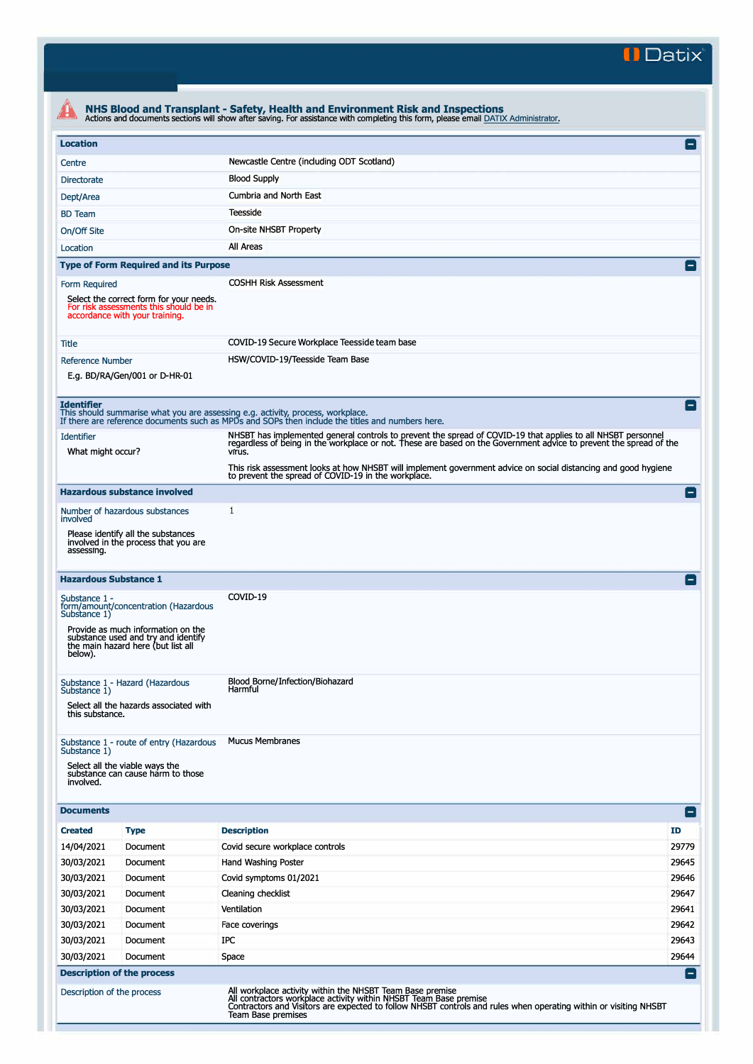**II Datix'** 

|                                                                                                              |                                                                                                                 | NHS Blood and Transplant - Safety, Health and Environment Risk and Inspections<br>Actions and documents sections will show after saving. For assistance with completing this form, please email DATIX Administrator.                                                            |                 |  |  |
|--------------------------------------------------------------------------------------------------------------|-----------------------------------------------------------------------------------------------------------------|---------------------------------------------------------------------------------------------------------------------------------------------------------------------------------------------------------------------------------------------------------------------------------|-----------------|--|--|
| <b>Location</b>                                                                                              |                                                                                                                 |                                                                                                                                                                                                                                                                                 | 8               |  |  |
| Centre                                                                                                       |                                                                                                                 | Newcastle Centre (including ODT Scotland)                                                                                                                                                                                                                                       |                 |  |  |
| <b>Directorate</b>                                                                                           |                                                                                                                 | <b>Blood Supply</b>                                                                                                                                                                                                                                                             |                 |  |  |
| Dept/Area                                                                                                    |                                                                                                                 | Cumbria and North East                                                                                                                                                                                                                                                          |                 |  |  |
| <b>BD</b> Team                                                                                               |                                                                                                                 | Teesside                                                                                                                                                                                                                                                                        |                 |  |  |
| On/Off Site                                                                                                  |                                                                                                                 | On-site NHSBT Property                                                                                                                                                                                                                                                          |                 |  |  |
| Location                                                                                                     |                                                                                                                 | All Areas                                                                                                                                                                                                                                                                       |                 |  |  |
|                                                                                                              | <b>Type of Form Required and its Purpose</b>                                                                    |                                                                                                                                                                                                                                                                                 |                 |  |  |
| Form Required                                                                                                | Select the correct form for your needs.<br>For risk assessments this should be in                               | <b>COSHH Risk Assessment</b>                                                                                                                                                                                                                                                    |                 |  |  |
|                                                                                                              | accordance with your training.                                                                                  |                                                                                                                                                                                                                                                                                 |                 |  |  |
| Title                                                                                                        |                                                                                                                 | COVID-19 Secure Workplace Teesside team base                                                                                                                                                                                                                                    |                 |  |  |
| <b>Reference Number</b><br>E.g. BD/RA/Gen/001 or D-HR-01                                                     |                                                                                                                 | HSW/COVID-19/Teesside Team Base                                                                                                                                                                                                                                                 |                 |  |  |
| <b>Identifier</b>                                                                                            |                                                                                                                 | This should summarise what you are assessing e.g. activity, process, workplace.                                                                                                                                                                                                 | E               |  |  |
| <b>Identifier</b>                                                                                            |                                                                                                                 | If there are reference documents such as MPDs and SOPs then include the titles and numbers here.                                                                                                                                                                                |                 |  |  |
| What might occur?                                                                                            |                                                                                                                 | NHSBT has implemented general controls to prevent the spread of COVID-19 that applies to all NHSBT personnel<br>regardless of being in the workplace or not. These are based on the Government advice to prevent the spread of th<br>virus.                                     |                 |  |  |
|                                                                                                              |                                                                                                                 | This risk assessment looks at how NHSBT will implement government advice on social distancing and good hygiene<br>to prevent the spread of COVID-19 in the workplace.                                                                                                           |                 |  |  |
|                                                                                                              | <b>Hazardous substance involved</b>                                                                             |                                                                                                                                                                                                                                                                                 | E               |  |  |
| involved                                                                                                     | Number of hazardous substances                                                                                  | 1                                                                                                                                                                                                                                                                               |                 |  |  |
| assessing.                                                                                                   | Please identify all the substances<br>involved in the process that you are                                      |                                                                                                                                                                                                                                                                                 |                 |  |  |
| <b>Hazardous Substance 1</b>                                                                                 |                                                                                                                 |                                                                                                                                                                                                                                                                                 | $\vert$ $\vert$ |  |  |
| Substance 1 -<br>Substance 1)                                                                                | form/amount/concentration (Hazardous                                                                            | COVID-19                                                                                                                                                                                                                                                                        |                 |  |  |
| below).                                                                                                      | Provide as much information on the<br>substance used and try and identify<br>the main hazard here (but list all |                                                                                                                                                                                                                                                                                 |                 |  |  |
| Substance 1 - Hazard (Hazardous<br>Substance 1)<br>Select all the hazards associated with<br>this substance. |                                                                                                                 | Blood Borne/Infection/Biohazard<br>Harmful                                                                                                                                                                                                                                      |                 |  |  |
| Substance 1)<br>involved.                                                                                    | Substance 1 - route of entry (Hazardous<br>Select all the viable ways the<br>substance can cause harm to those  | <b>Mucus Membranes</b>                                                                                                                                                                                                                                                          |                 |  |  |
| <b>Documents</b>                                                                                             |                                                                                                                 |                                                                                                                                                                                                                                                                                 | $\Box$          |  |  |
| <b>Created</b>                                                                                               | <b>Type</b>                                                                                                     | <b>Description</b>                                                                                                                                                                                                                                                              | ID              |  |  |
| 14/04/2021                                                                                                   | Document                                                                                                        | Covid secure workplace controls                                                                                                                                                                                                                                                 | 29779           |  |  |
| 30/03/2021                                                                                                   | Document                                                                                                        | Hand Washing Poster                                                                                                                                                                                                                                                             | 29645           |  |  |
| 30/03/2021                                                                                                   | Document                                                                                                        | Covid symptoms 01/2021                                                                                                                                                                                                                                                          | 29646           |  |  |
| 30/03/2021                                                                                                   | Document                                                                                                        | Cleaning checklist                                                                                                                                                                                                                                                              | 29647           |  |  |
| 30/03/2021                                                                                                   | Document                                                                                                        | Ventilation                                                                                                                                                                                                                                                                     | 29641           |  |  |
| 30/03/2021                                                                                                   | Document                                                                                                        | Face coverings                                                                                                                                                                                                                                                                  | 29642           |  |  |
| 30/03/2021                                                                                                   | Document                                                                                                        | IPC                                                                                                                                                                                                                                                                             | 29643           |  |  |
| 30/03/2021                                                                                                   | Document                                                                                                        | Space                                                                                                                                                                                                                                                                           | 29644           |  |  |
|                                                                                                              | <b>Description of the process</b>                                                                               |                                                                                                                                                                                                                                                                                 | $\vert - \vert$ |  |  |
| Description of the process                                                                                   |                                                                                                                 | All workplace activity within the NHSBT Team Base premise<br>All contractors workplace activity within NHSBT Team Base premise<br>Contractors and Visitors are expected to follow NHSBT controls and rules when operating within or visiting NHSBT<br><b>Team Base premises</b> |                 |  |  |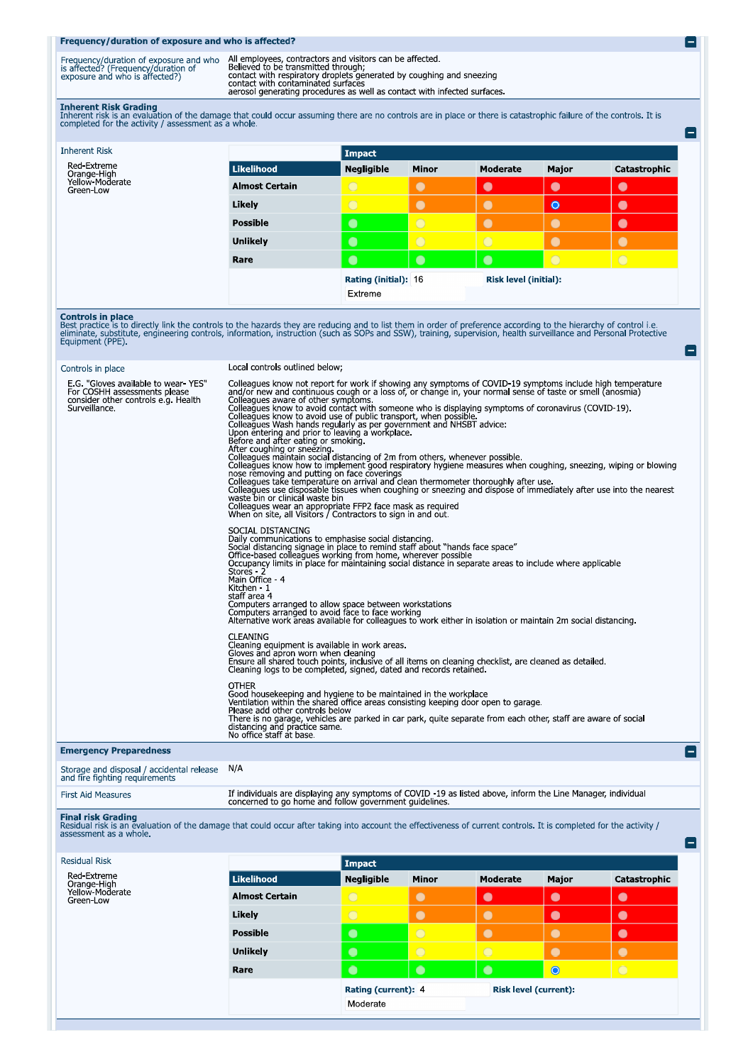## Frequency/duration of exposure and who is affected?

Frequency/duration of exposure and who All employees, contractors and visitors can be affected.<br>is affected? (Frequency/duration of Believed to be transmitted through;<br>exposure and who is affected?) contact with respirator

E)

e

۸

 $\blacksquare$ 

Inherent Risk Grading<br>Inherent risk is an evaluation of the damage that could occur assuming there are no controls are in place or there is catastrophic failure of the controls. It is<br>completed for the activity / assessmen

| Moderate              | Major     | Catastrophic |
|-----------------------|-----------|--------------|
|                       |           |              |
|                       |           |              |
| $\bullet$             | $\bullet$ | $\bullet$    |
| $\bullet$             | $\bullet$ | $\bullet$    |
| $\bullet$             | $\bullet$ | $\bullet$    |
| $\bigcirc$            | $\bullet$ | $\bullet$    |
| $\bullet$             | $\circ$   | $\bigcirc$   |
| Risk level (initial): |           |              |
|                       |           |              |
|                       |           |              |

**Controls in place**<br>Best practice is to directly link the controls to the hazards they are reducing and to list them in order of preference according to the hierarchy of control i.e.<br>eliminate, substitute, engineering cont

| Controls in place                                                                                                           | Local controls outlined below;                                                                                                                                                                                                                                                                                                                                                                                                                                                                                                                                                                                                                                                                                                                                                                                                                                                                                                                                                                                                                                                                                                                                   |
|-----------------------------------------------------------------------------------------------------------------------------|------------------------------------------------------------------------------------------------------------------------------------------------------------------------------------------------------------------------------------------------------------------------------------------------------------------------------------------------------------------------------------------------------------------------------------------------------------------------------------------------------------------------------------------------------------------------------------------------------------------------------------------------------------------------------------------------------------------------------------------------------------------------------------------------------------------------------------------------------------------------------------------------------------------------------------------------------------------------------------------------------------------------------------------------------------------------------------------------------------------------------------------------------------------|
| E.G. "Gloves available to wear-YES"<br>For COSHH assessments please<br>consider other controls e.g. Health<br>Surveillance. | Colleagues know not report for work if showing any symptoms of COVID-19 symptoms include high temperature<br>and/or new and continuous cough or a loss of, or change in, your normal sense of taste or smell (anosmia)<br>Colleagues aware of other symptoms.<br>Colleagues wive to other symptoms.<br>Colleagues know to avoid contact with someone who is displaying symptoms of coronavirus (COVID-19).<br>Colleagues was to avoid use of public transport, when possible.<br>Colleagues was hands re<br>After coughing or sneezing.<br>Colleagues maintain social distancing of 2m from others, whenever possible.<br>Colleagues know how to implement good respiratory hygiene measures when coughing, sneezing, wiping or blowing<br>nose removing and putting on face coverings<br>Colleagues take temperature on arrival and clean thermometer thoroughly after use.<br>Colleagues use disposable tissues when coughing or sneezing and dispose of immediately after use into the nearest<br>waste bin or clinical waste bin<br>Colleagues wear an appropriate FFP2 face mask as required<br>When on site, all Visitors / Contractors to sign in and out |
|                                                                                                                             | SOCIAL DISTANCING<br>Daily communications to emphasise social distancing.<br>Social distancing signage in place to remind staff about "hands face space"<br>Office-based colleagues working from home, wherever possible<br>Occupancy limits in place for maintaining social distance in separate areas to includ<br>Stores 2<br>Main Office - 4<br>Kitchen - 1<br>staff area 4<br>Computers arranged to allow space between workstations<br>Computers arranged to avoid face to face working<br>Alternative work areas available for colleagues to work either in isolation or maintain 2m social distancing.                                                                                                                                                                                                                                                                                                                                                                                                                                                                                                                                                   |
|                                                                                                                             | <b>CLEANING</b><br>Cleaning equipment is available in work areas.<br>Gloves and apron worn when cleaning<br>Ensure all shared touch points, inclusive of all items on cleaning checklist, are cleaned as detailed.<br>Cleaning logs to be completed, signed, dated and records retained.                                                                                                                                                                                                                                                                                                                                                                                                                                                                                                                                                                                                                                                                                                                                                                                                                                                                         |
|                                                                                                                             | <b>OTHER</b><br>Good housekeeping and hygiene to be maintained in the workplace<br>Ventilation within the shared office areas consisting keeping door open to garage.<br>Please add other controls below<br>There is no garage, vehicles are parked in car park, quite separate from each other, staff are aware of social<br>distancing and practice same.<br>No office staff at base.                                                                                                                                                                                                                                                                                                                                                                                                                                                                                                                                                                                                                                                                                                                                                                          |
| <b>Emergency Preparedness</b>                                                                                               |                                                                                                                                                                                                                                                                                                                                                                                                                                                                                                                                                                                                                                                                                                                                                                                                                                                                                                                                                                                                                                                                                                                                                                  |
|                                                                                                                             |                                                                                                                                                                                                                                                                                                                                                                                                                                                                                                                                                                                                                                                                                                                                                                                                                                                                                                                                                                                                                                                                                                                                                                  |

| If individuals are displaying any symptoms of COVID -19 as listed above, inform the Line Manager, individual<br>concerned to go home and follow government guidelines.<br><b>First Aid Measures</b> |  |
|-----------------------------------------------------------------------------------------------------------------------------------------------------------------------------------------------------|--|
|-----------------------------------------------------------------------------------------------------------------------------------------------------------------------------------------------------|--|

Final risk Grading<br>Residual risk is an evaluation of the damage that could occur after taking into account the effectiveness of current controls. It is completed for the activity /<br>assessment as a whole.

| <b>Residual Risk</b>         |                       | Impact              |              |                              |           |              |
|------------------------------|-----------------------|---------------------|--------------|------------------------------|-----------|--------------|
| Red-Extreme<br>Orange-High   | <b>Likelihood</b>     | <b>Negligible</b>   | <b>Minor</b> | <b>Moderate</b>              | Major     | Catastrophic |
| Yellow-Moderate<br>Green-Low | <b>Almost Certain</b> | $\overline{O}$      | $\bullet$    | $\bullet$                    | $\bullet$ | $\bullet$    |
|                              | Likely                | $\bigcirc$          | $\bullet$    | $\bullet$                    | $\bullet$ | $\bullet$    |
|                              | <b>Possible</b>       | $\bullet$           | $\bigcirc$   | $\bullet$                    | $\bullet$ | $\bullet$    |
|                              | <b>Unlikely</b>       | $\bullet$           | $\bigcirc$   | $\bigcirc$                   | $\bullet$ | $\bullet$    |
|                              | Rare                  | $\bullet$           | $\bullet$    | $\bullet$                    | $\bullet$ | $\bigcirc$   |
|                              |                       | Rating (current): 4 |              | <b>Risk level (current):</b> |           |              |
|                              |                       | Moderate            |              |                              |           |              |